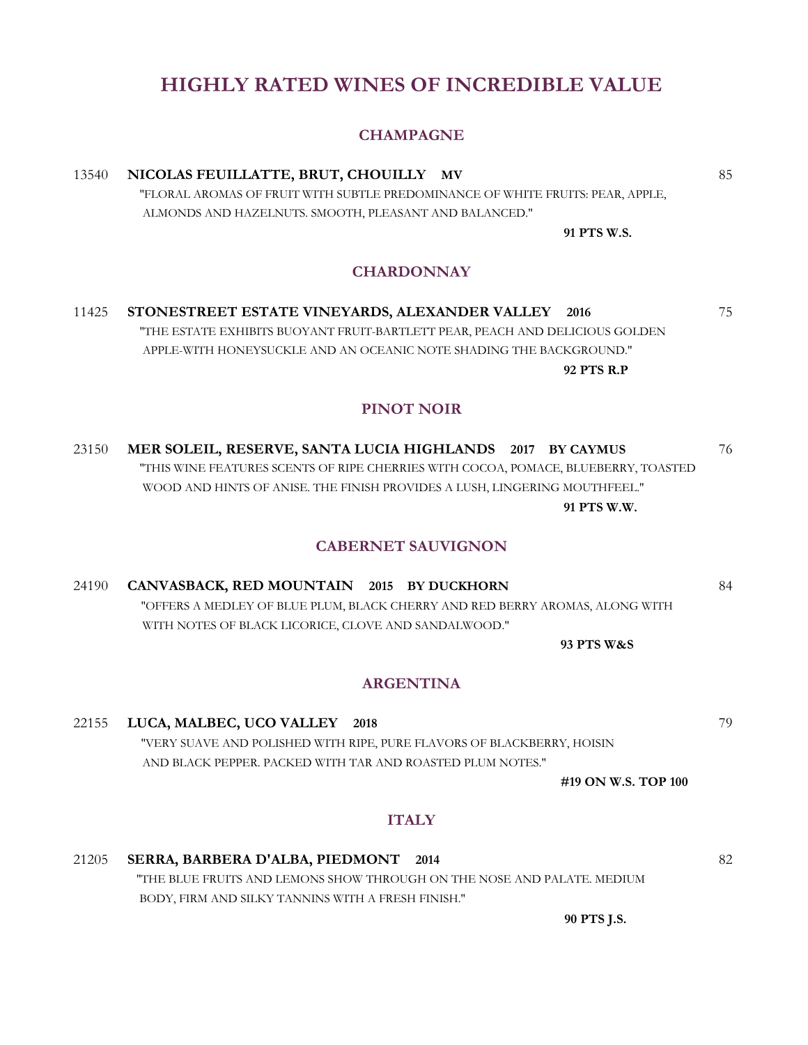### **HIGHLY RATED WINES OF INCREDIBLE VALUE**

#### **CHAMPAGNE**

### 13540 **NICOLAS FEUILLATTE, BRUT, CHOUILLY MV** 85

 "FLORAL AROMAS OF FRUIT WITH SUBTLE PREDOMINANCE OF WHITE FRUITS: PEAR, APPLE, ALMONDS AND HAZELNUTS. SMOOTH, PLEASANT AND BALANCED."

**91 PTS W.S.**

#### **CHARDONNAY**

11425 **STONESTREET ESTATE VINEYARDS, ALEXANDER VALLEY 2016** 75 "THE ESTATE EXHIBITS BUOYANT FRUIT-BARTLETT PEAR, PEACH AND DELICIOUS GOLDEN APPLE-WITH HONEYSUCKLE AND AN OCEANIC NOTE SHADING THE BACKGROUND." **92 PTS R.P**

#### **PINOT NOIR**

23150 **MER SOLEIL, RESERVE, SANTA LUCIA HIGHLANDS 2017 BY CAYMUS** 76 "THIS WINE FEATURES SCENTS OF RIPE CHERRIES WITH COCOA, POMACE, BLUEBERRY, TOASTED WOOD AND HINTS OF ANISE. THE FINISH PROVIDES A LUSH, LINGERING MOUTHFEEL." **91 PTS W.W.**

#### **CABERNET SAUVIGNON**

24190 **CANVASBACK, RED MOUNTAIN 2015 BY DUCKHORN** 84 "OFFERS A MEDLEY OF BLUE PLUM, BLACK CHERRY AND RED BERRY AROMAS, ALONG WITH WITH NOTES OF BLACK LICORICE, CLOVE AND SANDALWOOD."

**93 PTS W&S**

#### **ARGENTINA**

### 22155 **LUCA, MALBEC, UCO VALLEY 2018** 79 "VERY SUAVE AND POLISHED WITH RIPE, PURE FLAVORS OF BLACKBERRY, HOISIN AND BLACK PEPPER. PACKED WITH TAR AND ROASTED PLUM NOTES."

**#19 ON W.S. TOP 100**

#### **ITALY**

#### 21205 **SERRA, BARBERA D'ALBA, PIEDMONT 2014** 82 "THE BLUE FRUITS AND LEMONS SHOW THROUGH ON THE NOSE AND PALATE. MEDIUM BODY, FIRM AND SILKY TANNINS WITH A FRESH FINISH."

**90 PTS J.S.**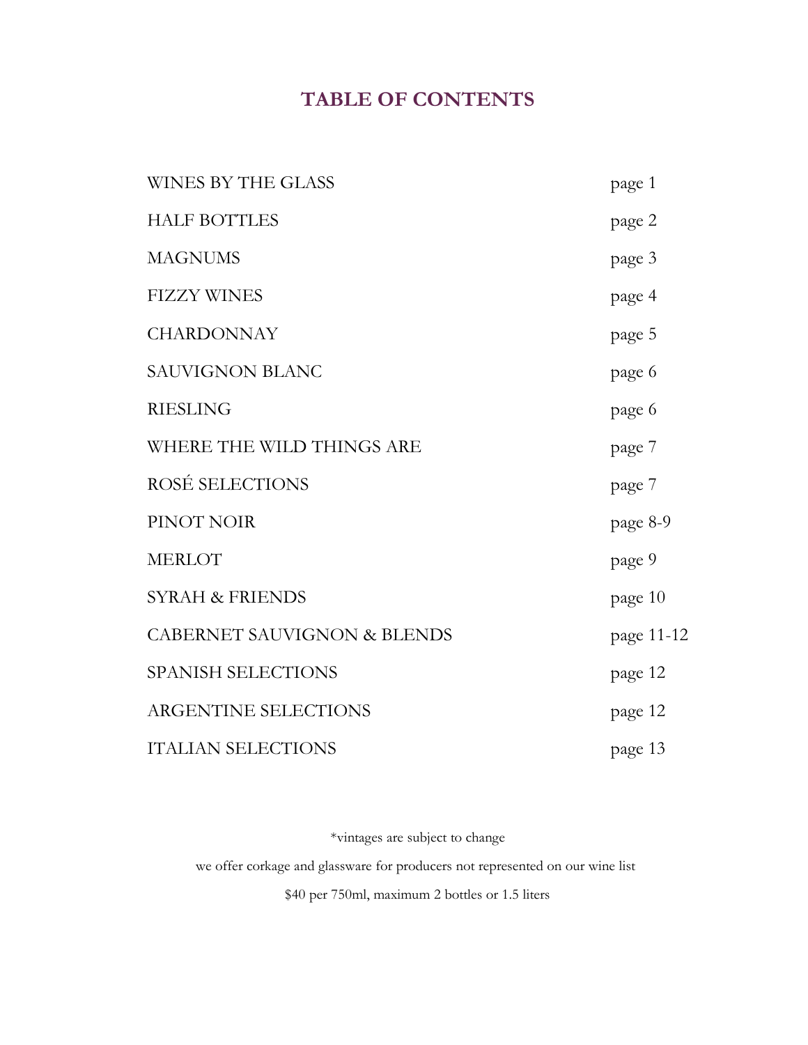# **TABLE OF CONTENTS**

| <b>WINES BY THE GLASS</b>              | page 1     |
|----------------------------------------|------------|
| <b>HALF BOTTLES</b>                    | page 2     |
| <b>MAGNUMS</b>                         | page 3     |
| <b>FIZZY WINES</b>                     | page 4     |
| <b>CHARDONNAY</b>                      | page 5     |
| <b>SAUVIGNON BLANC</b>                 | page 6     |
| <b>RIESLING</b>                        | page 6     |
| WHERE THE WILD THINGS ARE              | page 7     |
| ROSÉ SELECTIONS                        | page 7     |
| PINOT NOIR                             | page 8-9   |
| <b>MERLOT</b>                          | page 9     |
| <b>SYRAH &amp; FRIENDS</b>             | page 10    |
| <b>CABERNET SAUVIGNON &amp; BLENDS</b> | page 11-12 |
| <b>SPANISH SELECTIONS</b>              | page 12    |
| <b>ARGENTINE SELECTIONS</b>            | page 12    |
| <b>ITALIAN SELECTIONS</b>              | page 13    |

\*vintages are subject to change

we offer corkage and glassware for producers not represented on our wine list

\$40 per 750ml, maximum 2 bottles or 1.5 liters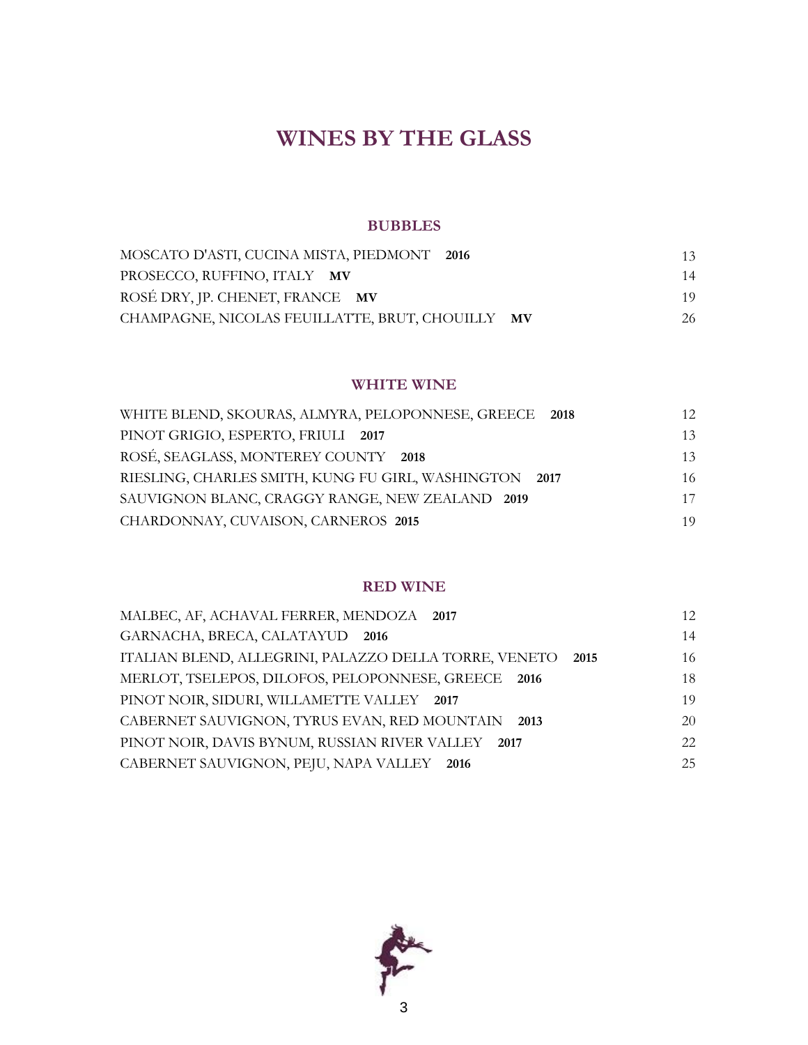# **WINES BY THE GLASS**

#### **BUBBLES**

| MOSCATO D'ASTI, CUCINA MISTA, PIEDMONT 2016      | 13 |
|--------------------------------------------------|----|
| PROSECCO, RUFFINO, ITALY MV                      | 14 |
| ROSÉ DRY, JP. CHENET, FRANCE MV                  | 19 |
| CHAMPAGNE, NICOLAS FEUILLATTE, BRUT, CHOUILLY MV | 26 |

#### **WHITE WINE**

| WHITE BLEND, SKOURAS, ALMYRA, PELOPONNESE, GREECE 2018 | 12. |
|--------------------------------------------------------|-----|
| PINOT GRIGIO, ESPERTO, FRIULI 2017                     | 13  |
| ROSÉ, SEAGLASS, MONTEREY COUNTY 2018                   | 13  |
| RIESLING, CHARLES SMITH, KUNG FU GIRL, WASHINGTON 2017 | 16  |
| SAUVIGNON BLANC, CRAGGY RANGE, NEW ZEALAND 2019        | 17  |
| CHARDONNAY, CUVAISON, CARNEROS 2015                    | 19. |

#### **RED WINE**

| MALBEC, AF, ACHAVAL FERRER, MENDOZA 2017                      | 12 <sub>1</sub> |
|---------------------------------------------------------------|-----------------|
| GARNACHA, BRECA, CALATAYUD 2016                               | 14              |
| ITALIAN BLEND, ALLEGRINI, PALAZZO DELLA TORRE, VENETO<br>2015 | 16              |
| MERLOT, TSELEPOS, DILOFOS, PELOPONNESE, GREECE 2016           | 18              |
| PINOT NOIR, SIDURI, WILLAMETTE VALLEY 2017                    | 19              |
| CABERNET SAUVIGNON, TYRUS EVAN, RED MOUNTAIN<br>2013          | 20              |
| PINOT NOIR, DAVIS BYNUM, RUSSIAN RIVER VALLEY<br>2017         | 22.             |
| CABERNET SAUVIGNON, PEJU, NAPA VALLEY 2016                    | 25              |

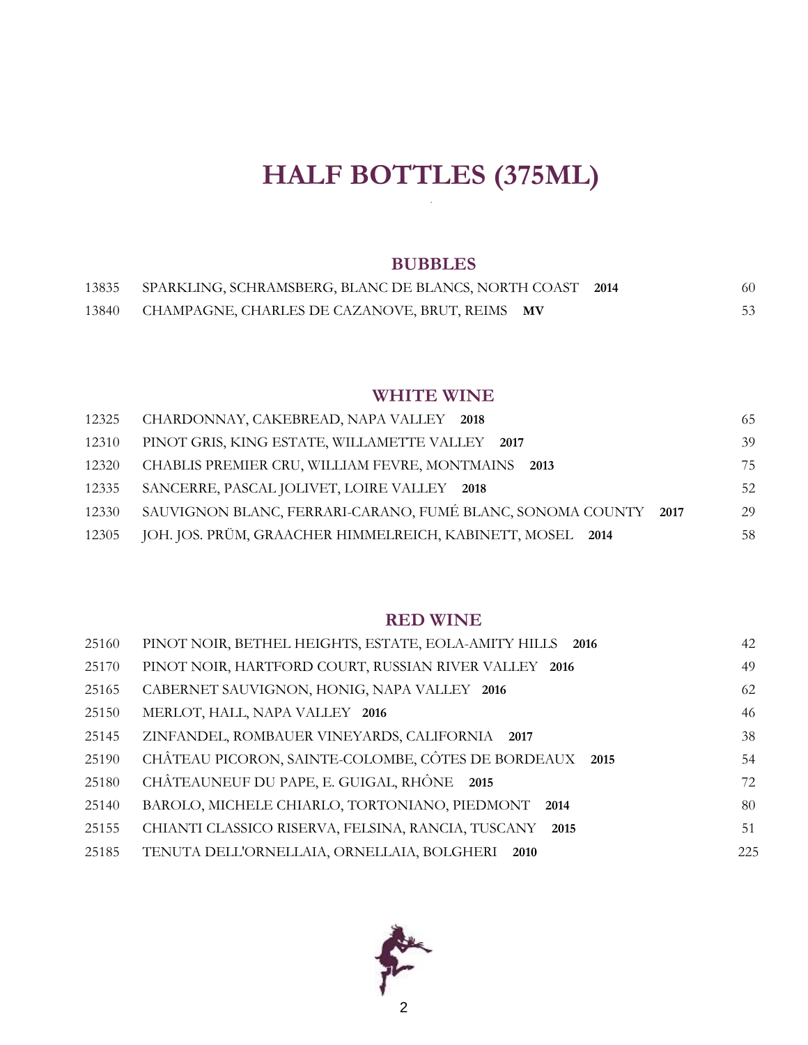# **HALF BOTTLES (375ML)** .

### **BUBBLES**

| 13835 | SPARKLING, SCHRAMSBERG, BLANC DE BLANCS, NORTH COAST 2014 |  | 60. |
|-------|-----------------------------------------------------------|--|-----|
| 13840 | CHAMPAGNE, CHARLES DE CAZANOVE, BRUT, REIMS MV            |  | 53  |

### **WHITE WINE**

| 12325 | CHARDONNAY, CAKEBREAD, NAPA VALLEY 2018                         | 65. |
|-------|-----------------------------------------------------------------|-----|
| 12310 | PINOT GRIS, KING ESTATE, WILLAMETTE VALLEY 2017                 | 39  |
| 12320 | CHABLIS PREMIER CRU, WILLIAM FEVRE, MONTMAINS<br>2013           | 75  |
| 12335 | SANCERRE, PASCAL JOLIVET, LOIRE VALLEY 2018                     | 52  |
| 12330 | SAUVIGNON BLANC, FERRARI-CARANO, FUMÉ BLANC, SONOMA COUNTY 2017 | 29  |
| 12305 | JOH. JOS. PRÜM, GRAACHER HIMMELREICH, KABINETT, MOSEL 2014      | 58  |

### **RED WINE**

| 25160 | PINOT NOIR, BETHEL HEIGHTS, ESTATE, EOLA-AMITY HILLS 2016  | 42  |
|-------|------------------------------------------------------------|-----|
| 25170 | PINOT NOIR, HARTFORD COURT, RUSSIAN RIVER VALLEY 2016      | 49  |
| 25165 | CABERNET SAUVIGNON, HONIG, NAPA VALLEY 2016                | 62  |
| 25150 | MERLOT, HALL, NAPA VALLEY 2016                             | 46  |
| 25145 | ZINFANDEL, ROMBAUER VINEYARDS, CALIFORNIA 2017             | 38  |
| 25190 | CHÂTEAU PICORON, SAINTE-COLOMBE, CÔTES DE BORDEAUX 2015    | 54  |
| 25180 | CHÂTEAUNEUF DU PAPE, E. GUIGAL, RHÔNE 2015                 | 72  |
| 25140 | BAROLO, MICHELE CHIARLO, TORTONIANO, PIEDMONT<br>2014      | 80  |
| 25155 | CHIANTI CLASSICO RISERVA, FELSINA, RANCIA, TUSCANY<br>2015 | 51  |
| 25185 | TENUTA DELL'ORNELLAIA, ORNELLAIA, BOLGHERI 2010            | 225 |

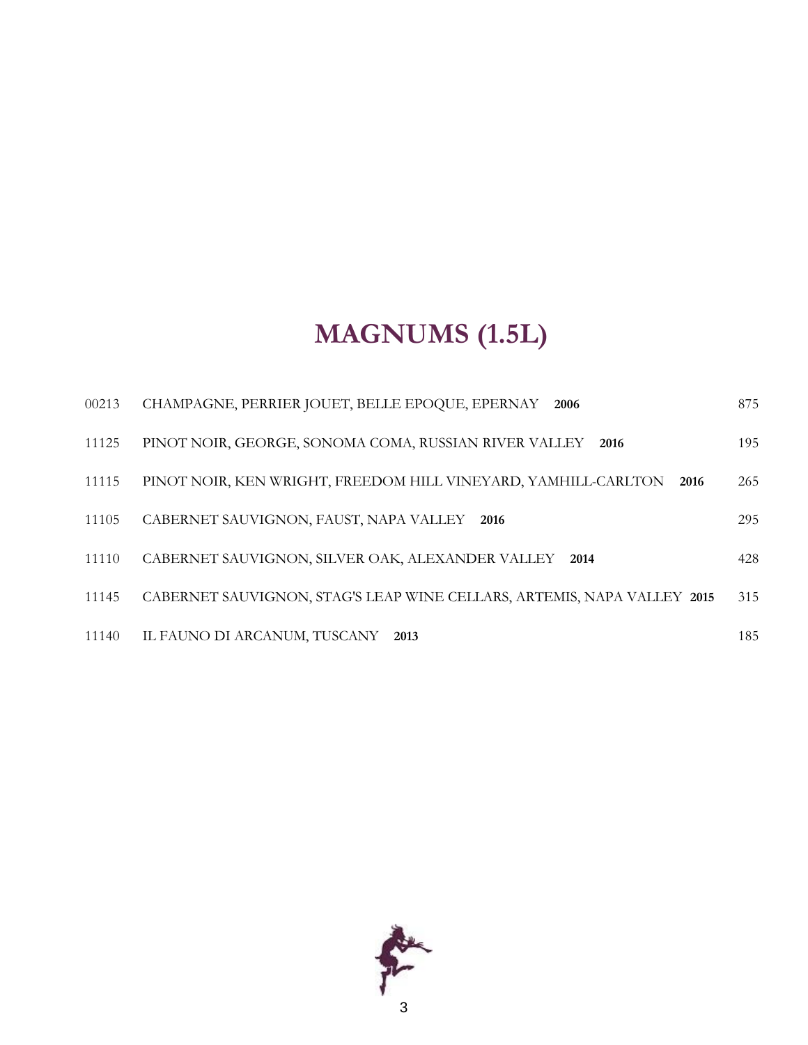# **MAGNUMS (1.5L)**

| 00213 | CHAMPAGNE, PERRIER JOUET, BELLE EPOQUE, EPERNAY<br>2006                 | 875 |
|-------|-------------------------------------------------------------------------|-----|
| 11125 | PINOT NOIR, GEORGE, SONOMA COMA, RUSSIAN RIVER VALLEY<br>2016           | 195 |
| 11115 | PINOT NOIR, KEN WRIGHT, FREEDOM HILL VINEYARD, YAMHILL-CARLTON<br>2016  | 265 |
| 11105 | CABERNET SAUVIGNON, FAUST, NAPA VALLEY 2016                             | 295 |
| 11110 | CABERNET SAUVIGNON, SILVER OAK, ALEXANDER VALLEY<br>2014                | 428 |
| 11145 | CABERNET SAUVIGNON, STAG'S LEAP WINE CELLARS, ARTEMIS, NAPA VALLEY 2015 | 315 |
| 11140 | IL FAUNO DI ARCANUM, TUSCANY<br>2013                                    | 185 |

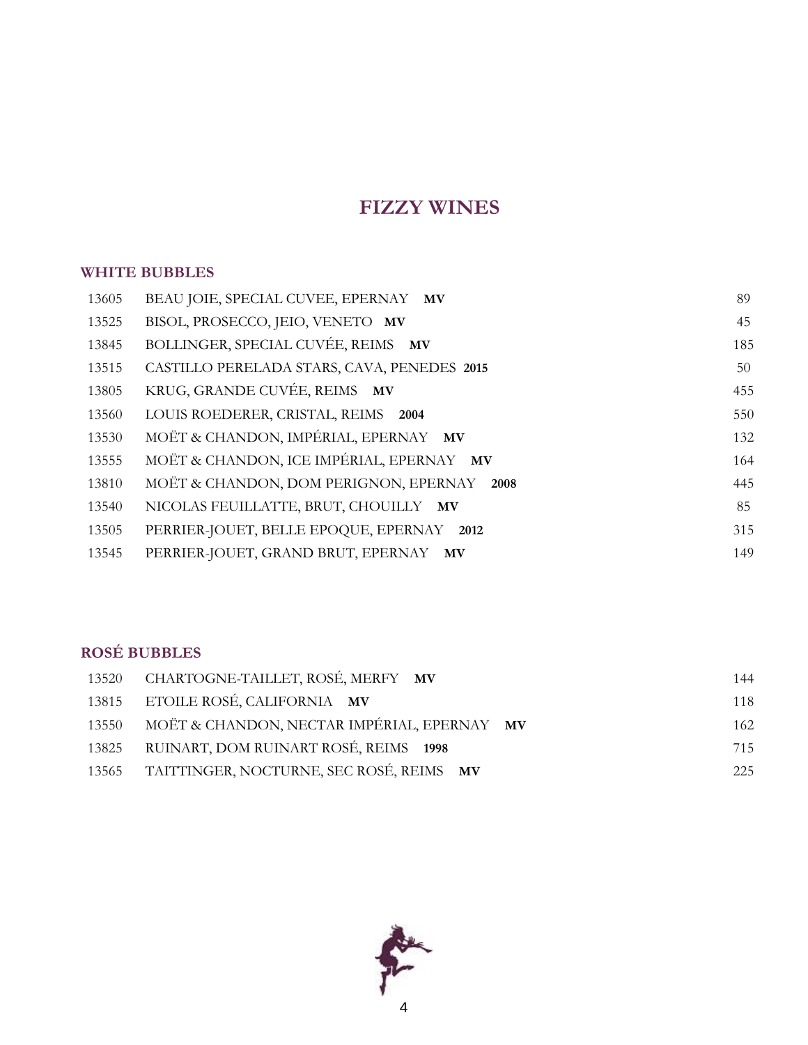# **FIZZY WINES**

### **WHITE BUBBLES**

| 13605 | BEAU JOIE, SPECIAL CUVEE, EPERNAY MV        | 89  |
|-------|---------------------------------------------|-----|
| 13525 | BISOL, PROSECCO, JEIO, VENETO MV            | 45  |
| 13845 | BOLLINGER, SPECIAL CUVÉE, REIMS MV          | 185 |
| 13515 | CASTILLO PERELADA STARS, CAVA, PENEDES 2015 | 50  |
| 13805 | KRUG, GRANDE CUVÉE, REIMS MV                | 455 |
| 13560 | LOUIS ROEDERER, CRISTAL, REIMS 2004         | 550 |
| 13530 | MOËT & CHANDON, IMPÉRIAL, EPERNAY MV        | 132 |
| 13555 | MOËT & CHANDON, ICE IMPÉRIAL, EPERNAY MV    | 164 |
| 13810 | MOËT & CHANDON, DOM PERIGNON, EPERNAY 2008  | 445 |
| 13540 | NICOLAS FEUILLATTE, BRUT, CHOUILLY MV       | 85  |
| 13505 | PERRIER-JOUET, BELLE EPOQUE, EPERNAY 2012   | 315 |
| 13545 | PERRIER-JOUET, GRAND BRUT, EPERNAY MV       | 149 |

### **ROSÉ BUBBLES**

|       | 13520 CHARTOGNE-TAILLET, ROSÉ, MERFY MV        | 144 |
|-------|------------------------------------------------|-----|
|       | 13815 ETOILE ROSÉ, CALIFORNIA MV               | 118 |
| 13550 | MOËT & CHANDON, NECTAR IMPÉRIAL, EPERNAY MV    | 162 |
| 13825 | RUINART, DOM RUINART ROSÉ, REIMS 1998          | 715 |
|       | 13565 TAITTINGER, NOCTURNE, SEC ROSÉ, REIMS MV | 225 |

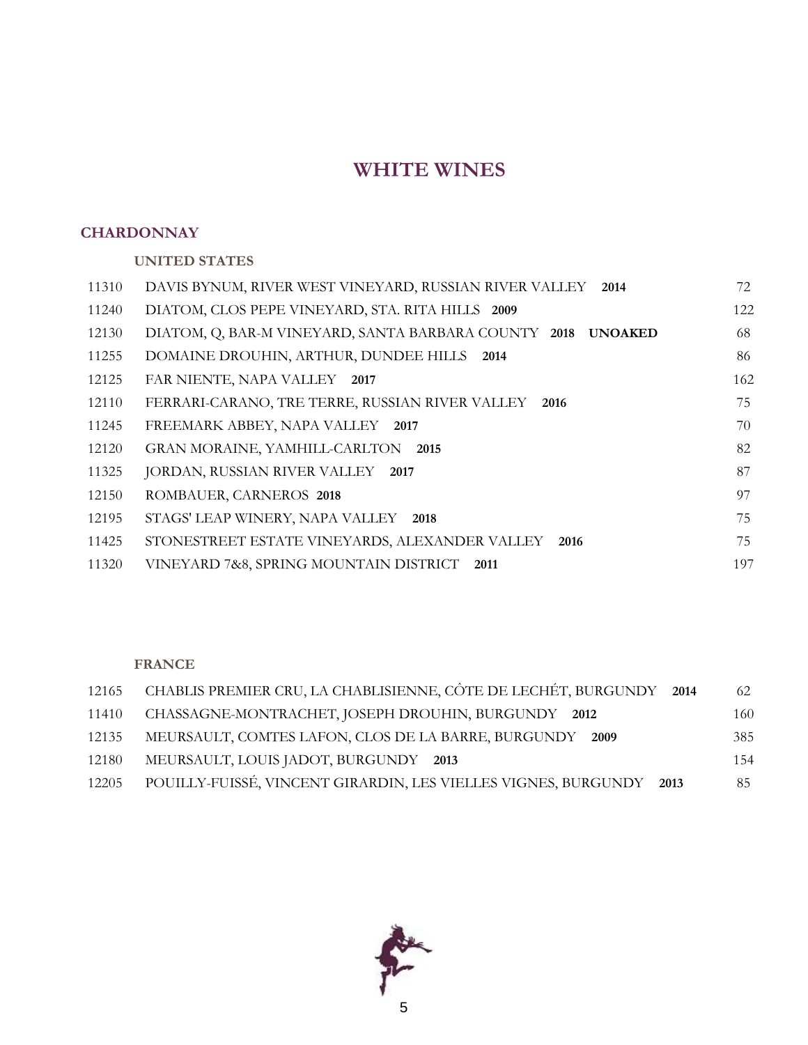# **WHITE WINES**

### **CHARDONNAY**

**UNITED STATES**

| 11310 | DAVIS BYNUM, RIVER WEST VINEYARD, RUSSIAN RIVER VALLEY<br>2014         | 72  |
|-------|------------------------------------------------------------------------|-----|
| 11240 | DIATOM, CLOS PEPE VINEYARD, STA. RITA HILLS 2009                       | 122 |
| 12130 | DIATOM, Q, BAR-M VINEYARD, SANTA BARBARA COUNTY 2018<br><b>UNOAKED</b> | 68  |
| 11255 | DOMAINE DROUHIN, ARTHUR, DUNDEE HILLS 2014                             | 86  |
| 12125 | FAR NIENTE, NAPA VALLEY 2017                                           | 162 |
| 12110 | FERRARI-CARANO, TRE TERRE, RUSSIAN RIVER VALLEY 2016                   | 75  |
| 11245 | FREEMARK ABBEY, NAPA VALLEY 2017                                       | 70  |
| 12120 | GRAN MORAINE, YAMHILL-CARLTON 2015                                     | 82  |
| 11325 | JORDAN, RUSSIAN RIVER VALLEY 2017                                      | 87  |
| 12150 | ROMBAUER, CARNEROS 2018                                                | 97  |
| 12195 | STAGS' LEAP WINERY, NAPA VALLEY<br>2018                                | 75  |
| 11425 | STONESTREET ESTATE VINEYARDS, ALEXANDER VALLEY<br>2016                 | 75  |
| 11320 | VINEYARD 7&8, SPRING MOUNTAIN DISTRICT<br>2011                         | 197 |
|       |                                                                        |     |

### **FRANCE**

| 12165 | CHABLIS PREMIER CRU, LA CHABLISIENNE, CÔTE DE LECHÉT, BURGUNDY 2014 | 62  |
|-------|---------------------------------------------------------------------|-----|
| 11410 | CHASSAGNE-MONTRACHET, JOSEPH DROUHIN, BURGUNDY 2012                 | 160 |
| 12135 | MEURSAULT, COMTES LAFON, CLOS DE LA BARRE, BURGUNDY 2009            | 385 |
| 12180 | MEURSAULT, LOUIS JADOT, BURGUNDY 2013                               | 154 |
| 12205 | POUILLY-FUISSÉ, VINCENT GIRARDIN, LES VIELLES VIGNES, BURGUNDY 2013 | 85  |

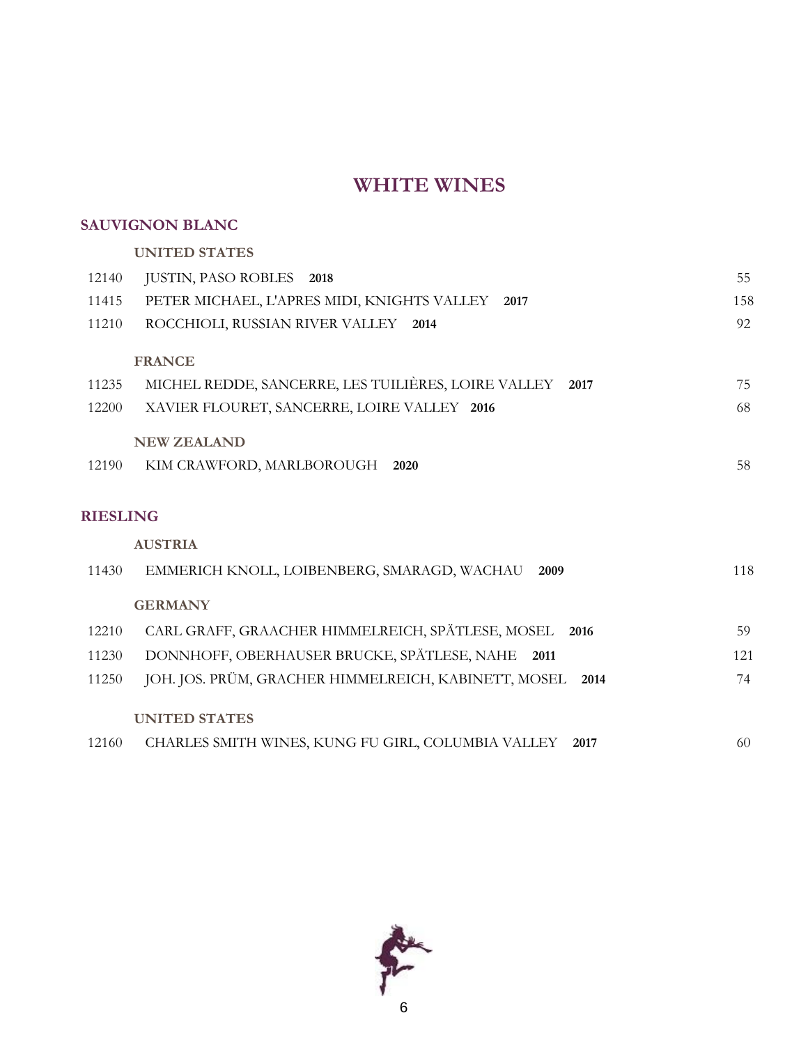### **WHITE WINES**

### **SAUVIGNON BLANC**

#### **UNITED STATES**

| 12140           | JUSTIN, PASO ROBLES<br>2018                                  | 55  |
|-----------------|--------------------------------------------------------------|-----|
| 11415           | PETER MICHAEL, L'APRES MIDI, KNIGHTS VALLEY 2017             | 158 |
| 11210           | ROCCHIOLI, RUSSIAN RIVER VALLEY<br>2014                      | 92  |
|                 |                                                              |     |
|                 | <b>FRANCE</b>                                                |     |
| 11235           | MICHEL REDDE, SANCERRE, LES TUILIÈRES, LOIRE VALLEY<br>2017  | 75  |
| 12200           | XAVIER FLOURET, SANCERRE, LOIRE VALLEY 2016                  | 68  |
|                 | <b>NEW ZEALAND</b>                                           |     |
| 12190           | KIM CRAWFORD, MARLBOROUGH<br>2020                            | 58  |
|                 |                                                              |     |
| <b>RIESLING</b> |                                                              |     |
|                 | <b>AUSTRIA</b>                                               |     |
| 11430           | EMMERICH KNOLL, LOIBENBERG, SMARAGD, WACHAU<br>2009          | 118 |
|                 | <b>GERMANY</b>                                               |     |
|                 |                                                              |     |
| 12210           | CARL GRAFF, GRAACHER HIMMELREICH, SPÄTLESE, MOSEL<br>2016    | 59  |
| 11230           | DONNHOFF, OBERHAUSER BRUCKE, SPÄTLESE, NAHE<br>2011          | 121 |
| 11250           | JOH. JOS. PRÜM, GRACHER HIMMELREICH, KABINETT, MOSEL<br>2014 | 74  |
|                 | <b>UNITED STATES</b>                                         |     |
|                 |                                                              |     |

12160 CHARLES SMITH WINES, KUNG FU GIRL, COLUMBIA VALLEY **2017** 60

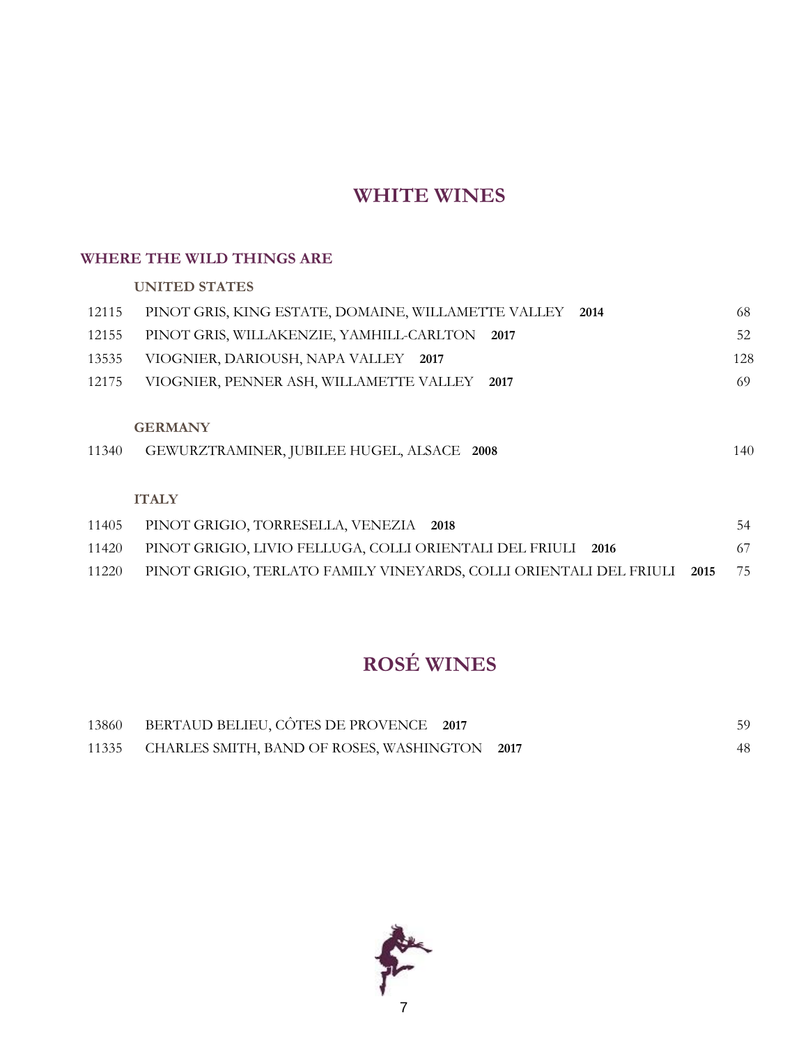# **WHITE WINES**

### **WHERE THE WILD THINGS ARE**

**UNITED STATES**

| 12115 | PINOT GRIS, KING ESTATE, DOMAINE, WILLAMETTE VALLEY<br>2014                | 68  |
|-------|----------------------------------------------------------------------------|-----|
| 12155 | PINOT GRIS, WILLAKENZIE, YAMHILL-CARLTON<br>2017                           | 52  |
| 13535 | VIOGNIER, DARIOUSH, NAPA VALLEY 2017                                       | 128 |
| 12175 | VIOGNIER, PENNER ASH, WILLAMETTE VALLEY<br>2017                            | 69  |
| 11340 | <b>GERMANY</b><br>GEWURZTRAMINER, JUBILEE HUGEL, ALSACE 2008               | 140 |
|       | <b>ITALY</b>                                                               |     |
| 11405 | PINOT GRIGIO, TORRESELLA, VENEZIA 2018                                     | 54  |
| 11420 | PINOT GRIGIO, LIVIO FELLUGA, COLLI ORIENTALI DEL FRIULI<br>2016            | 67  |
| 11220 | PINOT GRIGIO, TERLATO FAMILY VINEYARDS, COLLI ORIENTALI DEL FRIULI<br>2015 | 75  |

# **ROSÉ WINES**

| 13860 | BERTAUD BELIEU, CÔTES DE PROVENCE 2017              | 59 |
|-------|-----------------------------------------------------|----|
|       | 11335 CHARLES SMITH, BAND OF ROSES, WASHINGTON 2017 | 48 |

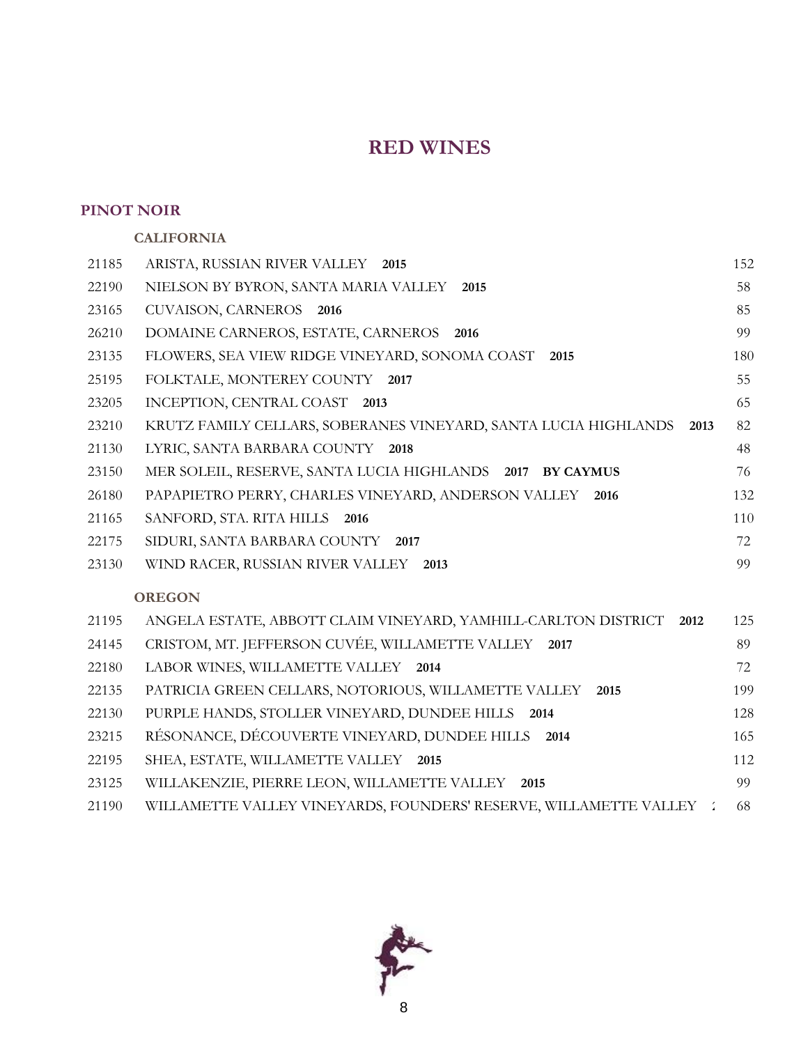#### **PINOT NOIR**

# **CALIFORNIA** ARISTA, RUSSIAN RIVER VALLEY **2015** 152 NIELSON BY BYRON, SANTA MARIA VALLEY **2015** 58 CUVAISON, CARNEROS **2016** 85 DOMAINE CARNEROS, ESTATE, CARNEROS **2016** 99 FLOWERS, SEA VIEW RIDGE VINEYARD, SONOMA COAST **2015** 180 FOLKTALE, MONTEREY COUNTY **2017** 55 INCEPTION, CENTRAL COAST **2013** 65 KRUTZ FAMILY CELLARS, SOBERANES VINEYARD, SANTA LUCIA HIGHLANDS **2013** 82 LYRIC, SANTA BARBARA COUNTY **2018** 48 MER SOLEIL, RESERVE, SANTA LUCIA HIGHLANDS **2017 BY CAYMUS** 76 PAPAPIETRO PERRY, CHARLES VINEYARD, ANDERSON VALLEY **2016** 132 SANFORD, STA. RITA HILLS **2016** 110 SIDURI, SANTA BARBARA COUNTY **2017** 72 WIND RACER, RUSSIAN RIVER VALLEY **2013** 99 **OREGON** ANGELA ESTATE, ABBOTT CLAIM VINEYARD, YAMHILL-CARLTON DISTRICT **2012** 125

| 24145 | CRISTOM, MT. JEFFERSON CUVEE, WILLAMETTE VALLEY 2017                | 89  |
|-------|---------------------------------------------------------------------|-----|
| 22180 | LABOR WINES, WILLAMETTE VALLEY<br>2014                              | 72  |
| 22135 | PATRICIA GREEN CELLARS, NOTORIOUS, WILLAMETTE VALLEY 2015           | 199 |
| 22130 | PURPLE HANDS, STOLLER VINEYARD, DUNDEE HILLS 2014                   | 128 |
| 23215 | RÉSONANCE, DÉCOUVERTE VINEYARD, DUNDEE HILLS 2014                   | 165 |
| 22195 | SHEA, ESTATE, WILLAMETTE VALLEY 2015                                | 112 |
| 23125 | WILLAKENZIE, PIERRE LEON, WILLAMETTE VALLEY<br>2015                 | 99  |
| 21190 | WILLAMETTE VALLEY VINEYARDS, FOUNDERS' RESERVE, WILLAMETTE VALLEY : | -68 |

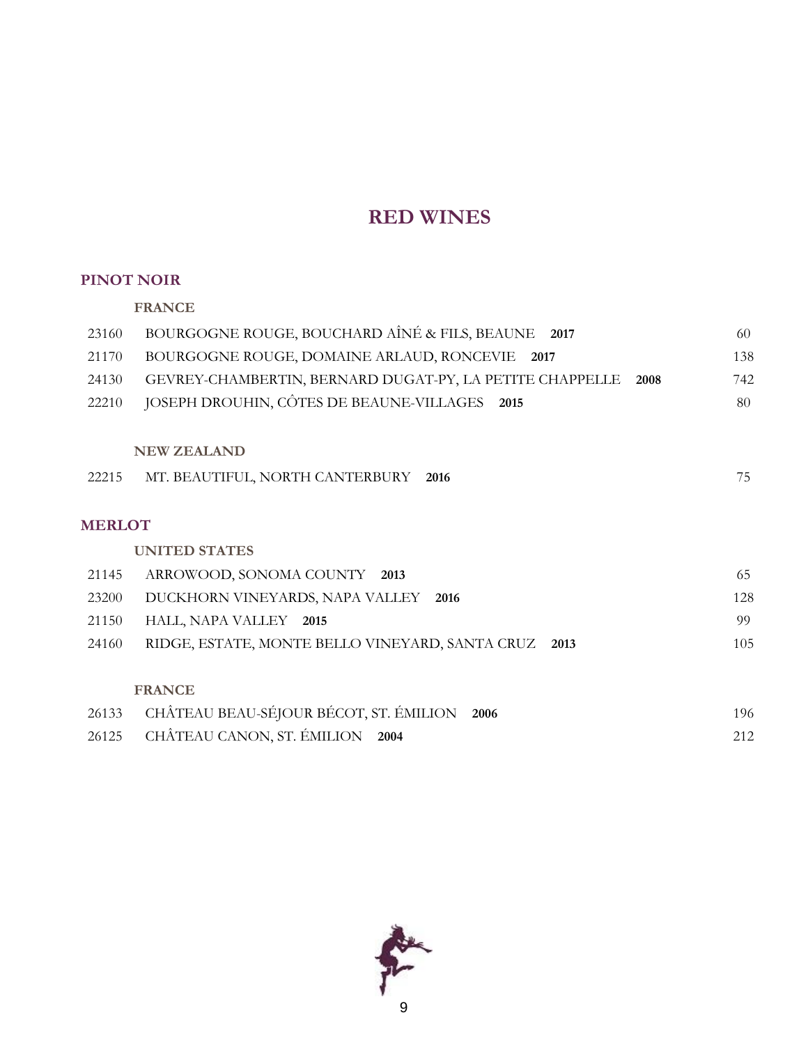#### **PINOT NOIR**

|               | <b>FRANCE</b>                                                    |     |
|---------------|------------------------------------------------------------------|-----|
| 23160         | BOURGOGNE ROUGE, BOUCHARD AÎNÉ & FILS, BEAUNE<br>2017            | 60  |
| 21170         | BOURGOGNE ROUGE, DOMAINE ARLAUD, RONCEVIE 2017                   | 138 |
| 24130         | GEVREY-CHAMBERTIN, BERNARD DUGAT-PY, LA PETITE CHAPPELLE<br>2008 | 742 |
| 22210         | JOSEPH DROUHIN, CÔTES DE BEAUNE-VILLAGES 2015                    | 80  |
|               |                                                                  |     |
|               | <b>NEW ZEALAND</b>                                               |     |
| 22215         | MT. BEAUTIFUL, NORTH CANTERBURY 2016                             | 75  |
|               |                                                                  |     |
| <b>MERLOT</b> |                                                                  |     |
|               | <b>UNITED STATES</b>                                             |     |
| 21145         | ARROWOOD, SONOMA COUNTY 2013                                     | 65  |
| 23200         | DUCKHORN VINEYARDS, NAPA VALLEY<br>2016                          | 128 |
| 21150         | HALL, NAPA VALLEY 2015                                           | 99  |
| 24160         | RIDGE, ESTATE, MONTE BELLO VINEYARD, SANTA CRUZ<br>2013          | 105 |
|               |                                                                  |     |
|               | <b>FRANCE</b>                                                    |     |
| 26133         | CHÂTEAU BEAU-SÉJOUR BÉCOT, ST. ÉMILION<br>2006                   | 196 |
| 26125         | CHÂTEAU CANON, ST. ÉMILION<br>2004                               | 212 |

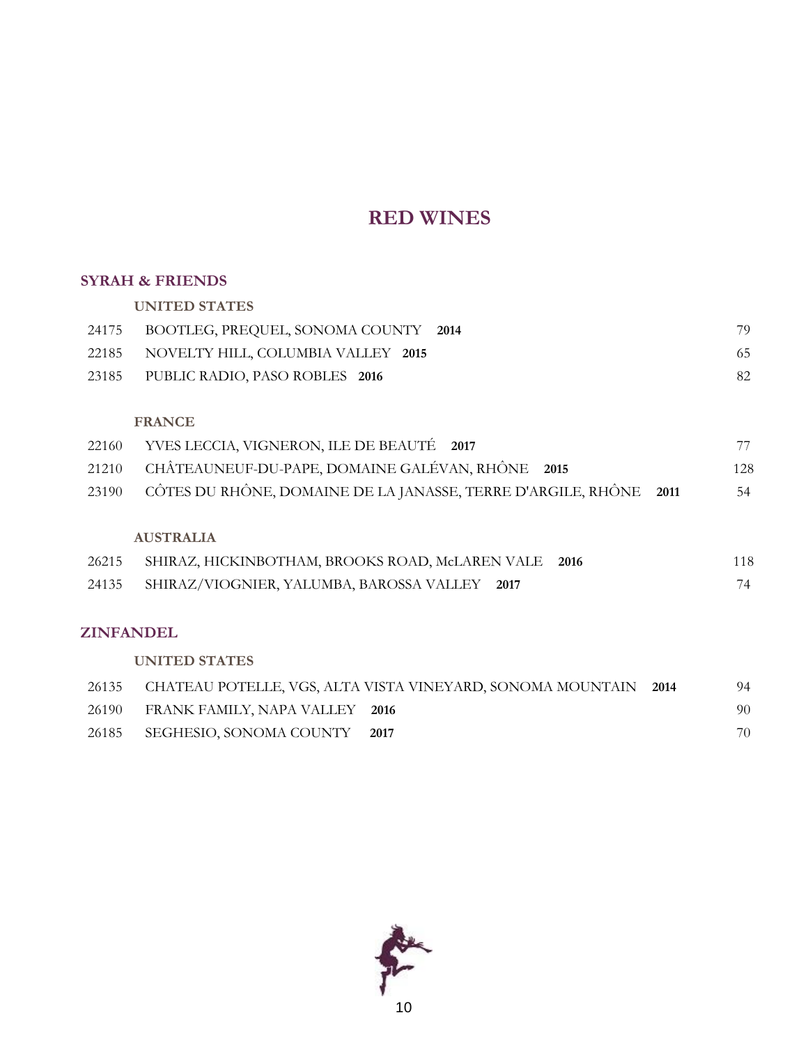#### **SYRAH & FRIENDS**

**UNITED STATES**

| 24175 BOOTLEG, PREQUEL, SONOMA COUNTY 2014 | 79 |
|--------------------------------------------|----|
| 22185 NOVELTY HILL, COLUMBIA VALLEY 2015   | 65 |
| 23185 PUBLIC RADIO, PASO ROBLES 2016       | 82 |

#### **FRANCE**

| 22160 YVES LECCIA, VIGNERON, ILE DE BEAUTÉ 2017                         |     |
|-------------------------------------------------------------------------|-----|
| 21210 CHÂTEAUNEUF-DU-PAPE, DOMAINE GALÉVAN, RHÔNE 2015                  | 128 |
| 23190 CÔTES DU RHÔNE, DOMAINE DE LA JANASSE, TERRE D'ARGILE, RHÔNE 2011 | 54  |
| <b>AUSTRALIA</b>                                                        |     |
| 26215 SHIRAZ, HICKINBOTHAM, BROOKS ROAD, McLAREN VALE 2016              | 118 |

| 2021 JULINAL, HICKHNDO HIAM, DROOKS ROAD, MILLAREN VALET 2010 | $\Box$ |
|---------------------------------------------------------------|--------|
| 24135 SHIRAZ/VIOGNIER, YALUMBA, BAROSSA VALLEY 2017           |        |

### **ZINFANDEL**

### **UNITED STATES**

|       |                                | 26135 CHATEAU POTELLE, VGS, ALTA VISTA VINEYARD, SONOMA MOUNTAIN | 2014 | 94 |
|-------|--------------------------------|------------------------------------------------------------------|------|----|
| 26190 | FRANK FAMILY, NAPA VALLEY 2016 |                                                                  |      | 90 |
| 26185 | SEGHESIO, SONOMA COUNTY        | 2017                                                             |      | 70 |

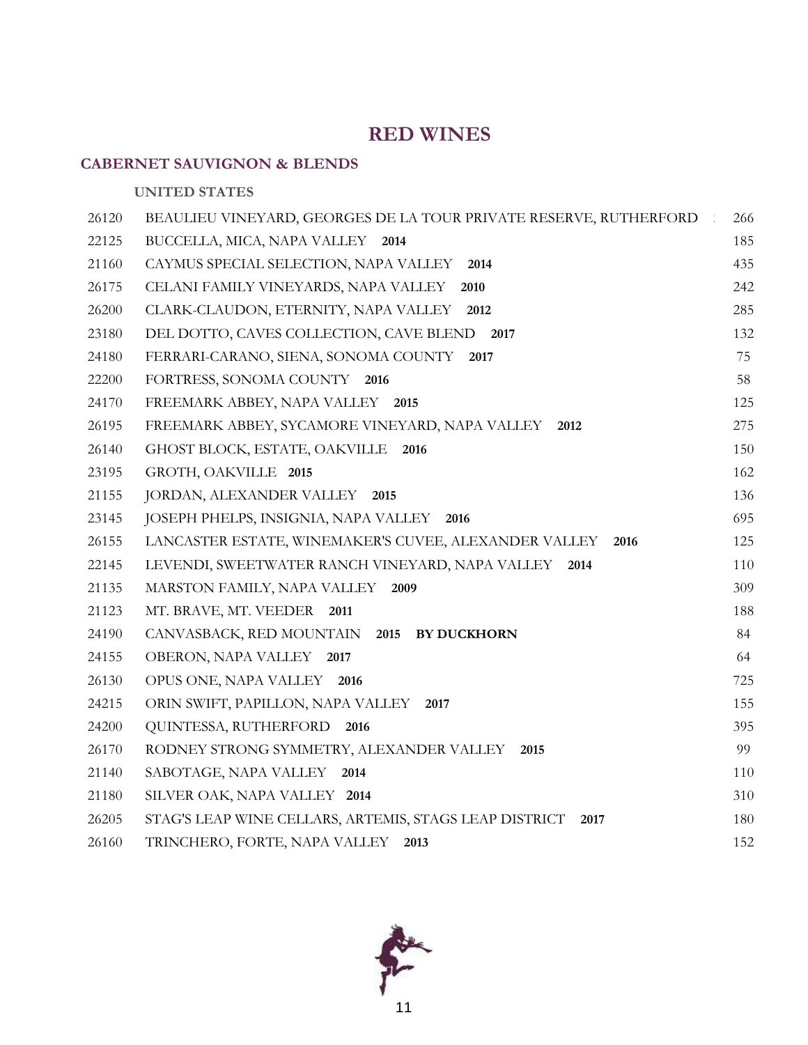### **CABERNET SAUVIGNON & BLENDS**

### **UNITED STATES**

| 26120 | BEAULIEU VINEYARD, GEORGES DE LA TOUR PRIVATE RESERVE, RUTHERFORD | 266 |
|-------|-------------------------------------------------------------------|-----|
| 22125 | BUCCELLA, MICA, NAPA VALLEY 2014                                  | 185 |
| 21160 | CAYMUS SPECIAL SELECTION, NAPA VALLEY<br>2014                     | 435 |
| 26175 | CELANI FAMILY VINEYARDS, NAPA VALLEY<br>2010                      | 242 |
| 26200 | CLARK-CLAUDON, ETERNITY, NAPA VALLEY<br>2012                      | 285 |
| 23180 | DEL DOTTO, CAVES COLLECTION, CAVE BLEND<br>2017                   | 132 |
| 24180 | FERRARI-CARANO, SIENA, SONOMA COUNTY<br>2017                      | 75  |
| 22200 | FORTRESS, SONOMA COUNTY 2016                                      | 58  |
| 24170 | FREEMARK ABBEY, NAPA VALLEY<br>2015                               | 125 |
| 26195 | FREEMARK ABBEY, SYCAMORE VINEYARD, NAPA VALLEY<br>2012            | 275 |
| 26140 | GHOST BLOCK, ESTATE, OAKVILLE 2016                                | 150 |
| 23195 | GROTH, OAKVILLE 2015                                              | 162 |
| 21155 | JORDAN, ALEXANDER VALLEY 2015                                     | 136 |
| 23145 | JOSEPH PHELPS, INSIGNIA, NAPA VALLEY 2016                         | 695 |
| 26155 | LANCASTER ESTATE, WINEMAKER'S CUVEE, ALEXANDER VALLEY<br>2016     | 125 |
| 22145 | LEVENDI, SWEETWATER RANCH VINEYARD, NAPA VALLEY<br>2014           | 110 |
| 21135 | MARSTON FAMILY, NAPA VALLEY 2009                                  | 309 |
| 21123 | MT. BRAVE, MT. VEEDER 2011                                        | 188 |
| 24190 | CANVASBACK, RED MOUNTAIN 2015 BY DUCKHORN                         | 84  |
| 24155 | OBERON, NAPA VALLEY 2017                                          | 64  |
| 26130 | OPUS ONE, NAPA VALLEY 2016                                        | 725 |
| 24215 | ORIN SWIFT, PAPILLON, NAPA VALLEY<br>2017                         | 155 |
| 24200 | QUINTESSA, RUTHERFORD<br>2016                                     | 395 |
| 26170 | RODNEY STRONG SYMMETRY, ALEXANDER VALLEY<br>2015                  | 99  |
| 21140 | SABOTAGE, NAPA VALLEY<br>2014                                     | 110 |
| 21180 | SILVER OAK, NAPA VALLEY 2014                                      | 310 |
| 26205 | STAG'S LEAP WINE CELLARS, ARTEMIS, STAGS LEAP DISTRICT<br>2017    | 180 |
| 26160 | TRINCHERO, FORTE, NAPA VALLEY<br>2013                             | 152 |

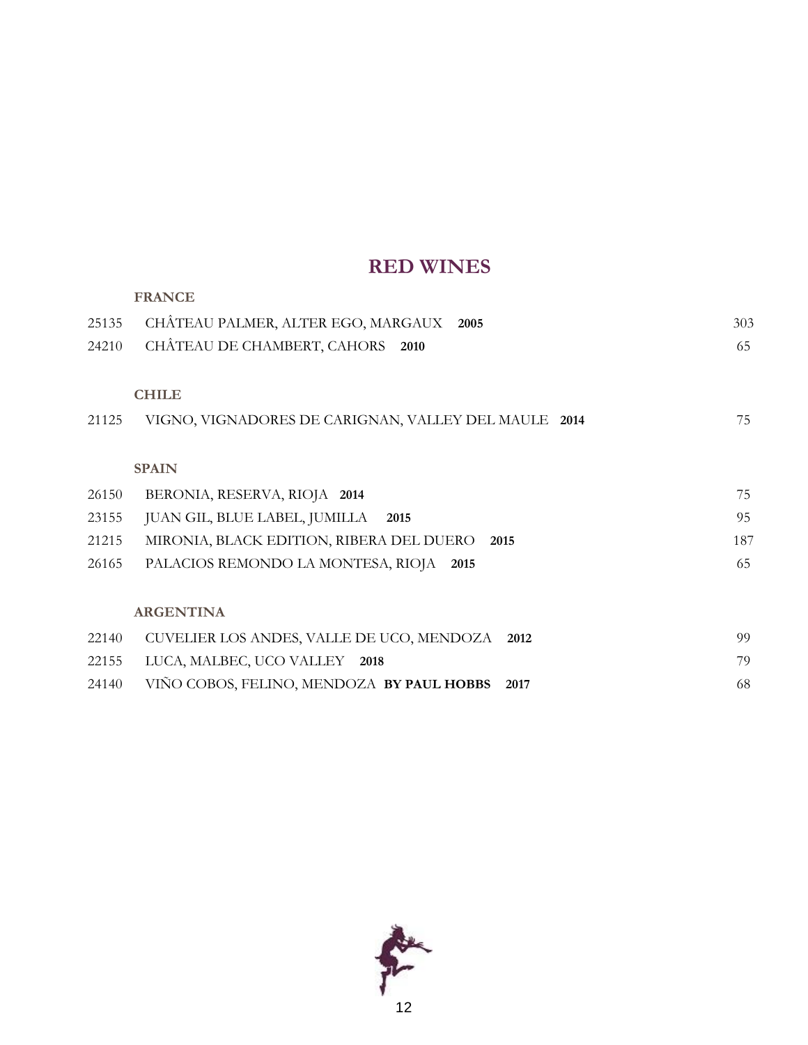|       | <b>FRANCE</b>                                        |     |
|-------|------------------------------------------------------|-----|
| 25135 | CHÂTEAU PALMER, ALTER EGO, MARGAUX<br>2005           | 303 |
| 24210 | CHÂTEAU DE CHAMBERT, CAHORS<br>2010                  | 65  |
|       |                                                      |     |
|       | <b>CHILE</b>                                         |     |
| 21125 | VIGNO, VIGNADORES DE CARIGNAN, VALLEY DEL MAULE 2014 | 75  |
|       |                                                      |     |
|       | <b>SPAIN</b>                                         |     |
| 26150 | BERONIA, RESERVA, RIOJA 2014                         | 75  |
| 23155 | JUAN GIL, BLUE LABEL, JUMILLA<br>2015                | 95  |
| 21215 | MIRONIA, BLACK EDITION, RIBERA DEL DUERO 2015        | 187 |
| 26165 | PALACIOS REMONDO LA MONTESA, RIOJA<br>2015           | 65  |
|       |                                                      |     |
|       | <b>ARGENTINA</b>                                     |     |
| 22140 | CUVELIER LOS ANDES, VALLE DE UCO, MENDOZA<br>2012    | 99  |
| 22155 | LUCA, MALBEC, UCO VALLEY 2018                        | 79  |
| 24140 | VIÑO COBOS, FELINO, MENDOZA BY PAUL HOBBS<br>2017    | 68  |
|       |                                                      |     |